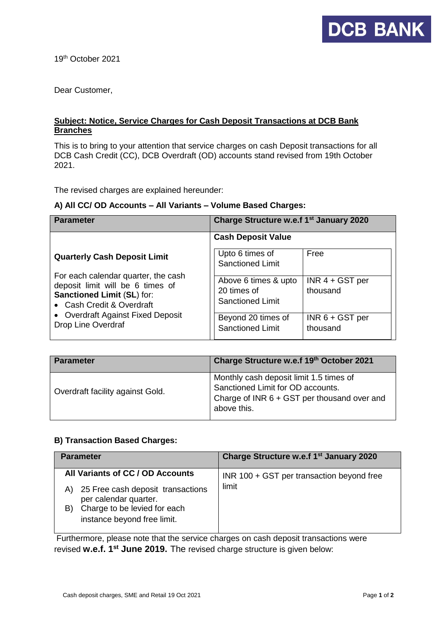

19th October 2021

Dear Customer,

# **Subject: Notice, Service Charges for Cash Deposit Transactions at DCB Bank Branches**

This is to bring to your attention that service charges on cash Deposit transactions for all DCB Cash Credit (CC), DCB Overdraft (OD) accounts stand revised from 19th October 2021.

The revised charges are explained hereunder:

#### **A) All CC/ OD Accounts – All Variants – Volume Based Charges:**

| <b>Parameter</b>                                                                                                                                                                                                                     | Charge Structure w.e.f 1 <sup>st</sup> January 2020                                  |                                                    |
|--------------------------------------------------------------------------------------------------------------------------------------------------------------------------------------------------------------------------------------|--------------------------------------------------------------------------------------|----------------------------------------------------|
| <b>Quarterly Cash Deposit Limit</b><br>For each calendar quarter, the cash<br>deposit limit will be 6 times of<br>Sanctioned Limit (SL) for:<br>• Cash Credit & Overdraft<br>• Overdraft Against Fixed Deposit<br>Drop Line Overdraf | <b>Cash Deposit Value</b><br>Upto 6 times of<br><b>Sanctioned Limit</b>              | Free                                               |
|                                                                                                                                                                                                                                      | Above 6 times & upto<br>20 times of<br><b>Sanctioned Limit</b><br>Beyond 20 times of | $INR$ 4 + GST per<br>thousand<br>$INR 6 + GST$ per |
|                                                                                                                                                                                                                                      | <b>Sanctioned Limit</b>                                                              | thousand                                           |

| <b>Parameter</b>                 | Charge Structure w.e.f 19th October 2021                                                                                                   |
|----------------------------------|--------------------------------------------------------------------------------------------------------------------------------------------|
| Overdraft facility against Gold. | Monthly cash deposit limit 1.5 times of<br>Sanctioned Limit for OD accounts.<br>Charge of INR 6 + GST per thousand over and<br>above this. |

# **B) Transaction Based Charges:**

| <b>Parameter</b>                                                                                                                                                          | Charge Structure w.e.f 1 <sup>st</sup> January 2020 |
|---------------------------------------------------------------------------------------------------------------------------------------------------------------------------|-----------------------------------------------------|
| All Variants of CC / OD Accounts<br>25 Free cash deposit transactions<br>A)<br>per calendar quarter.<br>Charge to be levied for each<br>B)<br>instance beyond free limit. | INR 100 + GST per transaction beyond free<br>limit  |

Furthermore, please note that the service charges on cash deposit transactions were revised **w.e.f. 1 st June 2019.** The revised charge structure is given below: